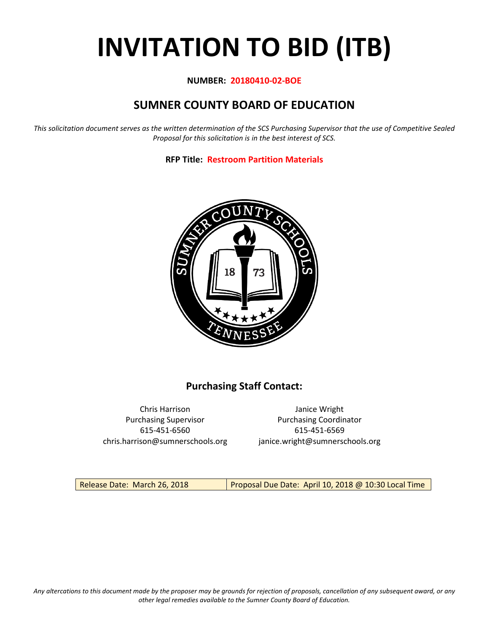# **INVITATION TO BID (ITB)**

## **NUMBER: 20180410-02-BOE**

# **SUMNER COUNTY BOARD OF EDUCATION**

*This solicitation document serves as the written determination of the SCS Purchasing Supervisor that the use of Competitive Sealed Proposal for this solicitation is in the best interest of SCS.*

**RFP Title: Restroom Partition Materials**



## **Purchasing Staff Contact:**

615-451-6560 615-451-6569 chris.harrison@sumnerschools.org janice.wright@sumnerschools.org

Chris Harrison Janice Wright Purchasing Supervisor **Purchasing Coordinator** 

Release Date: March 26, 2018 Proposal Due Date: April 10, 2018 @ 10:30 Local Time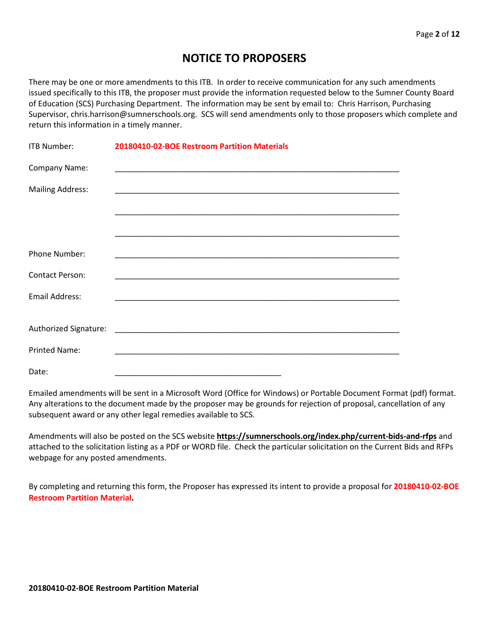## **NOTICE TO PROPOSERS**

There may be one or more amendments to this ITB. In order to receive communication for any such amendments issued specifically to this ITB, the proposer must provide the information requested below to the Sumner County Board of Education (SCS) Purchasing Department. The information may be sent by email to: Chris Harrison, Purchasing Supervisor, chris.harrison@sumnerschools.org. SCS will send amendments only to those proposers which complete and return this information in a timely manner.

| <b>ITB Number:</b>      | 20180410-02-BOE Restroom Partition Materials |
|-------------------------|----------------------------------------------|
| Company Name:           |                                              |
| <b>Mailing Address:</b> |                                              |
|                         |                                              |
|                         |                                              |
| Phone Number:           |                                              |
| <b>Contact Person:</b>  |                                              |
| <b>Email Address:</b>   |                                              |
|                         |                                              |
|                         |                                              |
| <b>Printed Name:</b>    |                                              |
| Date:                   |                                              |

Emailed amendments will be sent in a Microsoft Word (Office for Windows) or Portable Document Format (pdf) format. Any alterations to the document made by the proposer may be grounds for rejection of proposal, cancellation of any subsequent award or any other legal remedies available to SCS.

Amendments will also be posted on the SCS website **https://sumnerschools.org/index.php/current-bids-and-rfps** and attached to the solicitation listing as a PDF or WORD file. Check the particular solicitation on the Current Bids and RFPs webpage for any posted amendments.

By completing and returning this form, the Proposer has expressed its intent to provide a proposal for **20180410-02-BOE Restroom Partition Material.**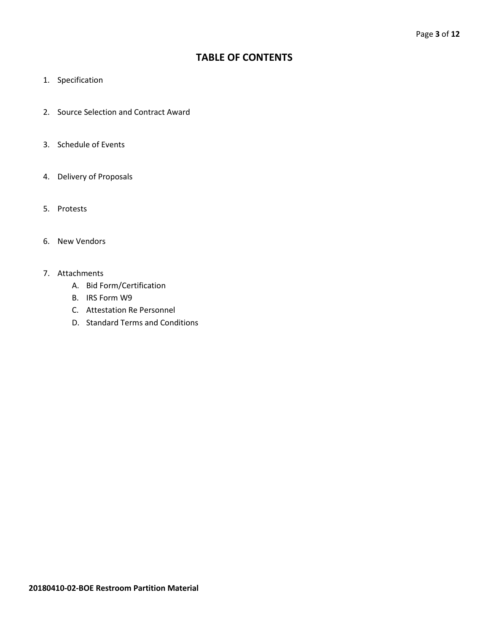## **TABLE OF CONTENTS**

- 1. Specification
- 2. Source Selection and Contract Award
- 3. Schedule of Events
- 4. Delivery of Proposals
- 5. Protests
- 6. New Vendors
- 7. Attachments
	- A. Bid Form/Certification
	- B. IRS Form W9
	- C. Attestation Re Personnel
	- D. Standard Terms and Conditions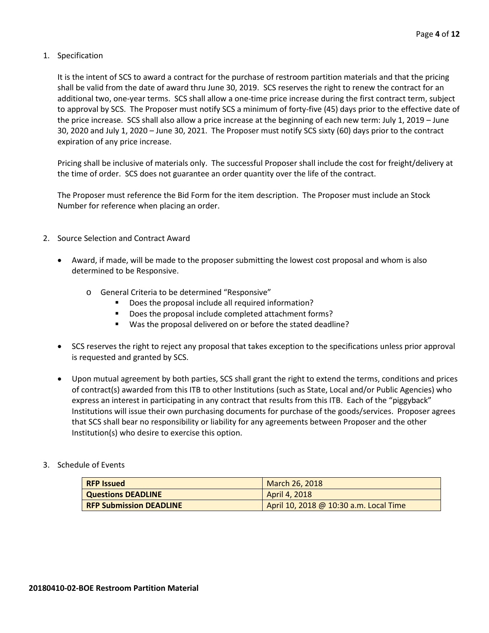## 1. Specification

It is the intent of SCS to award a contract for the purchase of restroom partition materials and that the pricing shall be valid from the date of award thru June 30, 2019. SCS reserves the right to renew the contract for an additional two, one-year terms. SCS shall allow a one-time price increase during the first contract term, subject to approval by SCS. The Proposer must notify SCS a minimum of forty-five (45) days prior to the effective date of the price increase. SCS shall also allow a price increase at the beginning of each new term: July 1, 2019 – June 30, 2020 and July 1, 2020 – June 30, 2021. The Proposer must notify SCS sixty (60) days prior to the contract expiration of any price increase.

Pricing shall be inclusive of materials only. The successful Proposer shall include the cost for freight/delivery at the time of order. SCS does not guarantee an order quantity over the life of the contract.

The Proposer must reference the Bid Form for the item description. The Proposer must include an Stock Number for reference when placing an order.

- 2. Source Selection and Contract Award
	- Award, if made, will be made to the proposer submitting the lowest cost proposal and whom is also determined to be Responsive.
		- o General Criteria to be determined "Responsive"
			- **•** Does the proposal include all required information?
			- Does the proposal include completed attachment forms?
			- Was the proposal delivered on or before the stated deadline?
	- SCS reserves the right to reject any proposal that takes exception to the specifications unless prior approval is requested and granted by SCS.
	- Upon mutual agreement by both parties, SCS shall grant the right to extend the terms, conditions and prices of contract(s) awarded from this ITB to other Institutions (such as State, Local and/or Public Agencies) who express an interest in participating in any contract that results from this ITB. Each of the "piggyback" Institutions will issue their own purchasing documents for purchase of the goods/services. Proposer agrees that SCS shall bear no responsibility or liability for any agreements between Proposer and the other Institution(s) who desire to exercise this option.

## 3. Schedule of Events

| <b>RFP Issued</b>              | March 26, 2018                         |
|--------------------------------|----------------------------------------|
| <b>Questions DEADLINE</b>      | April 4, 2018                          |
| <b>RFP Submission DEADLINE</b> | April 10, 2018 @ 10:30 a.m. Local Time |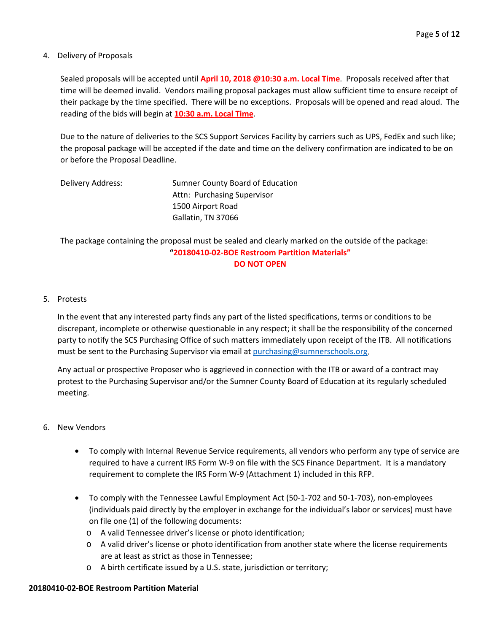## 4. Delivery of Proposals

Sealed proposals will be accepted until **April 10, 2018 @10:30 a.m. Local Time**. Proposals received after that time will be deemed invalid. Vendors mailing proposal packages must allow sufficient time to ensure receipt of their package by the time specified. There will be no exceptions. Proposals will be opened and read aloud. The reading of the bids will begin at **10:30 a.m. Local Time**.

Due to the nature of deliveries to the SCS Support Services Facility by carriers such as UPS, FedEx and such like; the proposal package will be accepted if the date and time on the delivery confirmation are indicated to be on or before the Proposal Deadline.

| Delivery Address: | Sumner County Board of Education |
|-------------------|----------------------------------|
|                   | Attn: Purchasing Supervisor      |
|                   | 1500 Airport Road                |
|                   | Gallatin, TN 37066               |

The package containing the proposal must be sealed and clearly marked on the outside of the package: **"20180410-02-BOE Restroom Partition Materials" DO NOT OPEN**

## 5. Protests

In the event that any interested party finds any part of the listed specifications, terms or conditions to be discrepant, incomplete or otherwise questionable in any respect; it shall be the responsibility of the concerned party to notify the SCS Purchasing Office of such matters immediately upon receipt of the ITB. All notifications must be sent to the Purchasing Supervisor via email at [purchasing@sumnerschools.org.](mailto:purchasing@sumnerschools.org)

Any actual or prospective Proposer who is aggrieved in connection with the ITB or award of a contract may protest to the Purchasing Supervisor and/or the Sumner County Board of Education at its regularly scheduled meeting.

## 6. New Vendors

- To comply with Internal Revenue Service requirements, all vendors who perform any type of service are required to have a current IRS Form W-9 on file with the SCS Finance Department. It is a mandatory requirement to complete the IRS Form W-9 (Attachment 1) included in this RFP.
- To comply with the Tennessee Lawful Employment Act (50-1-702 and 50-1-703), non-employees (individuals paid directly by the employer in exchange for the individual's labor or services) must have on file one (1) of the following documents:
	- o A valid Tennessee driver's license or photo identification;
	- o A valid driver's license or photo identification from another state where the license requirements are at least as strict as those in Tennessee;
	- o A birth certificate issued by a U.S. state, jurisdiction or territory;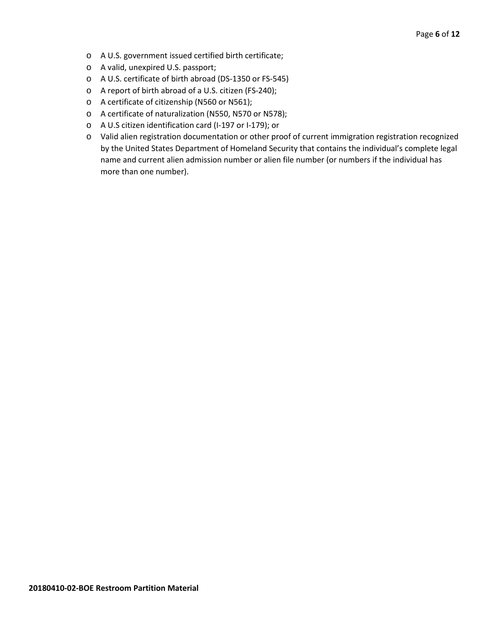- o A U.S. government issued certified birth certificate;
- o A valid, unexpired U.S. passport;
- o A U.S. certificate of birth abroad (DS-1350 or FS-545)
- o A report of birth abroad of a U.S. citizen (FS-240);
- o A certificate of citizenship (N560 or N561);
- o A certificate of naturalization (N550, N570 or N578);
- o A U.S citizen identification card (I-197 or I-179); or
- o Valid alien registration documentation or other proof of current immigration registration recognized by the United States Department of Homeland Security that contains the individual's complete legal name and current alien admission number or alien file number (or numbers if the individual has more than one number).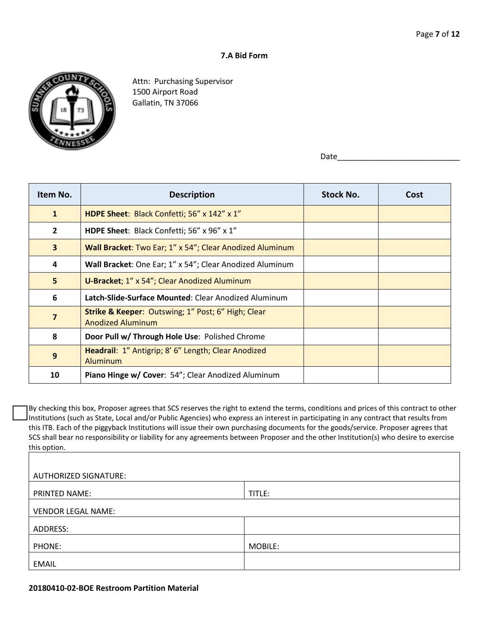### **7.A Bid Form**



Attn: Purchasing Supervisor 1500 Airport Road Gallatin, TN 37066

Date\_\_\_\_\_\_\_\_\_\_\_\_\_\_\_\_\_\_\_\_\_\_\_\_\_\_\_\_

| Item No.       | <b>Description</b>                                                                        | <b>Stock No.</b> | Cost |
|----------------|-------------------------------------------------------------------------------------------|------------------|------|
| $\mathbf{1}$   | HDPE Sheet: Black Confetti; 56" x 142" x 1"                                               |                  |      |
| $\overline{2}$ | HDPE Sheet: Black Confetti; 56" x 96" x 1"                                                |                  |      |
| $\mathbf{3}$   | Wall Bracket: Two Ear; 1" x 54"; Clear Anodized Aluminum                                  |                  |      |
| 4              | Wall Bracket: One Ear; 1" x 54"; Clear Anodized Aluminum                                  |                  |      |
| 5              | U-Bracket; 1" x 54"; Clear Anodized Aluminum                                              |                  |      |
| 6              | Latch-Slide-Surface Mounted: Clear Anodized Aluminum                                      |                  |      |
| $\overline{7}$ | <b>Strike &amp; Keeper: Outswing; 1" Post; 6" High; Clear</b><br><b>Anodized Aluminum</b> |                  |      |
| 8              | Door Pull w/ Through Hole Use: Polished Chrome                                            |                  |      |
| 9              | Headrail: 1" Antigrip; 8' 6" Length; Clear Anodized<br>Aluminum                           |                  |      |
| 10             | Piano Hinge w/ Cover: 54"; Clear Anodized Aluminum                                        |                  |      |

By checking this box, Proposer agrees that SCS reserves the right to extend the terms, conditions and prices of this contract to other Institutions (such as State, Local and/or Public Agencies) who express an interest in participating in any contract that results from this ITB. Each of the piggyback Institutions will issue their own purchasing documents for the goods/service. Proposer agrees that SCS shall bear no responsibility or liability for any agreements between Proposer and the other Institution(s) who desire to exercise this option.

| <b>AUTHORIZED SIGNATURE:</b> |         |  |
|------------------------------|---------|--|
| <b>PRINTED NAME:</b>         | TITLE:  |  |
| <b>VENDOR LEGAL NAME:</b>    |         |  |
| ADDRESS:                     |         |  |
| PHONE:                       | MOBILE: |  |
| <b>EMAIL</b>                 |         |  |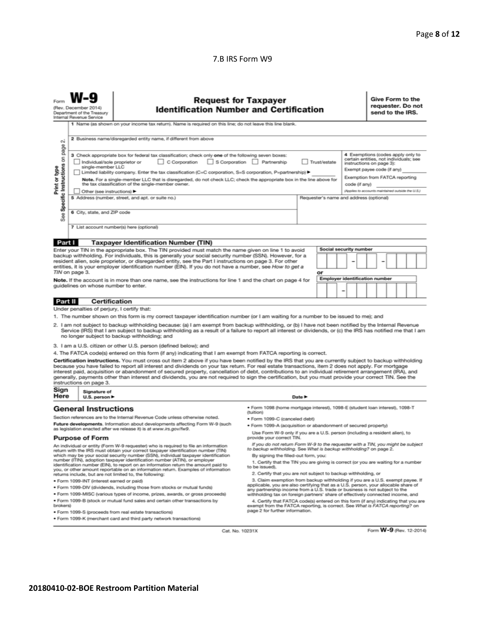## 7.B IRS Form W9

|                                                                                                                                                                                                                                                                                                                                                                                                                                                                                                                                                                                                                                                                                                       | <b>Request for Taxpayer</b><br><b>Identification Number and Certification</b><br>(Rev. December 2014)<br>Department of the Treasury<br>Internal Revenue Service<br>1 Name (as shown on your income tax return). Name is required on this line; do not leave this line blank.                                                                                                                                                                                                                |                                                                                                                                                                                                                                                                                                                                                                                                                                                                                                                                                                                                                               |                                                                                                                                                               | Give Form to the<br>requester. Do not<br>send to the IRS. |               |                                                                                                                                                                     |
|-------------------------------------------------------------------------------------------------------------------------------------------------------------------------------------------------------------------------------------------------------------------------------------------------------------------------------------------------------------------------------------------------------------------------------------------------------------------------------------------------------------------------------------------------------------------------------------------------------------------------------------------------------------------------------------------------------|---------------------------------------------------------------------------------------------------------------------------------------------------------------------------------------------------------------------------------------------------------------------------------------------------------------------------------------------------------------------------------------------------------------------------------------------------------------------------------------------|-------------------------------------------------------------------------------------------------------------------------------------------------------------------------------------------------------------------------------------------------------------------------------------------------------------------------------------------------------------------------------------------------------------------------------------------------------------------------------------------------------------------------------------------------------------------------------------------------------------------------------|---------------------------------------------------------------------------------------------------------------------------------------------------------------|-----------------------------------------------------------|---------------|---------------------------------------------------------------------------------------------------------------------------------------------------------------------|
| <b>CU</b><br>page                                                                                                                                                                                                                                                                                                                                                                                                                                                                                                                                                                                                                                                                                     | 2 Business name/disregarded entity name, if different from above<br>4 Exemptions (codes apply only to<br>3 Check appropriate box for federal tax classification; check only one of the following seven boxes:<br>certain entities, not individuals; see<br>S Corporation Partnership<br>$\Box$ C Corporation<br>Trust/estate                                                                                                                                                                |                                                                                                                                                                                                                                                                                                                                                                                                                                                                                                                                                                                                                               |                                                                                                                                                               |                                                           |               |                                                                                                                                                                     |
| Specific Instructions on<br>Print or type                                                                                                                                                                                                                                                                                                                                                                                                                                                                                                                                                                                                                                                             | Individual/sole proprietor or<br>single-member LLC<br>Limited liability company. Enter the tax classification (C=C corporation, S=S corporation, P=partnership) ▶<br>Note. For a single-member LLC that is disregarded, do not check LLC; check the appropriate box in the line above for<br>the tax classification of the single-member owner.<br>Other (see instructions) ▶                                                                                                               |                                                                                                                                                                                                                                                                                                                                                                                                                                                                                                                                                                                                                               |                                                                                                                                                               |                                                           | code (if any) | instructions on page 3):<br>Exempt payee code (if any)<br>Exemption from FATCA reporting<br>(Applies to accounts maintained outside the U.S.)                       |
| See                                                                                                                                                                                                                                                                                                                                                                                                                                                                                                                                                                                                                                                                                                   | 6 City, state, and ZIP code                                                                                                                                                                                                                                                                                                                                                                                                                                                                 | 5 Address (number, street, and apt. or suite no.)                                                                                                                                                                                                                                                                                                                                                                                                                                                                                                                                                                             |                                                                                                                                                               | Requester's name and address (optional)                   |               |                                                                                                                                                                     |
|                                                                                                                                                                                                                                                                                                                                                                                                                                                                                                                                                                                                                                                                                                       |                                                                                                                                                                                                                                                                                                                                                                                                                                                                                             | 7 List account number(s) here (optional)                                                                                                                                                                                                                                                                                                                                                                                                                                                                                                                                                                                      |                                                                                                                                                               |                                                           |               |                                                                                                                                                                     |
| Part I                                                                                                                                                                                                                                                                                                                                                                                                                                                                                                                                                                                                                                                                                                |                                                                                                                                                                                                                                                                                                                                                                                                                                                                                             | <b>Taxpayer Identification Number (TIN)</b>                                                                                                                                                                                                                                                                                                                                                                                                                                                                                                                                                                                   |                                                                                                                                                               |                                                           |               |                                                                                                                                                                     |
| <b>Social security number</b><br>Enter your TIN in the appropriate box. The TIN provided must match the name given on line 1 to avoid<br>backup withholding. For individuals, this is generally your social security number (SSN). However, for a<br>resident alien, sole proprietor, or disregarded entity, see the Part I instructions on page 3. For other<br>entities, it is your employer identification number (EIN). If you do not have a number, see How to get a<br>TIN on page 3.<br>or<br><b>Employer identification number</b><br>Note. If the account is in more than one name, see the instructions for line 1 and the chart on page 4 for<br>quidelines on whose number to enter.<br>- |                                                                                                                                                                                                                                                                                                                                                                                                                                                                                             |                                                                                                                                                                                                                                                                                                                                                                                                                                                                                                                                                                                                                               |                                                                                                                                                               |                                                           |               |                                                                                                                                                                     |
| Part II                                                                                                                                                                                                                                                                                                                                                                                                                                                                                                                                                                                                                                                                                               | Certification                                                                                                                                                                                                                                                                                                                                                                                                                                                                               |                                                                                                                                                                                                                                                                                                                                                                                                                                                                                                                                                                                                                               |                                                                                                                                                               |                                                           |               |                                                                                                                                                                     |
|                                                                                                                                                                                                                                                                                                                                                                                                                                                                                                                                                                                                                                                                                                       | Under penalties of perjury, I certify that:                                                                                                                                                                                                                                                                                                                                                                                                                                                 |                                                                                                                                                                                                                                                                                                                                                                                                                                                                                                                                                                                                                               |                                                                                                                                                               |                                                           |               |                                                                                                                                                                     |
|                                                                                                                                                                                                                                                                                                                                                                                                                                                                                                                                                                                                                                                                                                       |                                                                                                                                                                                                                                                                                                                                                                                                                                                                                             | 1. The number shown on this form is my correct taxpayer identification number (or I am waiting for a number to be issued to me); and                                                                                                                                                                                                                                                                                                                                                                                                                                                                                          |                                                                                                                                                               |                                                           |               |                                                                                                                                                                     |
|                                                                                                                                                                                                                                                                                                                                                                                                                                                                                                                                                                                                                                                                                                       |                                                                                                                                                                                                                                                                                                                                                                                                                                                                                             | 2. I am not subject to backup withholding because: (a) I am exempt from backup withholding, or (b) I have not been notified by the Internal Revenue<br>Service (IRS) that I am subject to backup withholding as a result of a failure to report all interest or dividends, or (c) the IRS has notified me that I am<br>no longer subject to backup withholding; and                                                                                                                                                                                                                                                           |                                                                                                                                                               |                                                           |               |                                                                                                                                                                     |
|                                                                                                                                                                                                                                                                                                                                                                                                                                                                                                                                                                                                                                                                                                       |                                                                                                                                                                                                                                                                                                                                                                                                                                                                                             | 3. I am a U.S. citizen or other U.S. person (defined below); and                                                                                                                                                                                                                                                                                                                                                                                                                                                                                                                                                              |                                                                                                                                                               |                                                           |               |                                                                                                                                                                     |
|                                                                                                                                                                                                                                                                                                                                                                                                                                                                                                                                                                                                                                                                                                       |                                                                                                                                                                                                                                                                                                                                                                                                                                                                                             | 4. The FATCA code(s) entered on this form (if any) indicating that I am exempt from FATCA reporting is correct.                                                                                                                                                                                                                                                                                                                                                                                                                                                                                                               |                                                                                                                                                               |                                                           |               |                                                                                                                                                                     |
|                                                                                                                                                                                                                                                                                                                                                                                                                                                                                                                                                                                                                                                                                                       | instructions on page 3.                                                                                                                                                                                                                                                                                                                                                                                                                                                                     | Certification instructions. You must cross out item 2 above if you have been notified by the IRS that you are currently subject to backup withholding<br>because you have failed to report all interest and dividends on your tax return. For real estate transactions, item 2 does not apply. For mortgage<br>interest paid, acquisition or abandonment of secured property, cancellation of debt, contributions to an individual retirement arrangement (IRA), and<br>generally, payments other than interest and dividends, you are not required to sign the certification, but you must provide your correct TIN. See the |                                                                                                                                                               |                                                           |               |                                                                                                                                                                     |
| Sign<br>Here                                                                                                                                                                                                                                                                                                                                                                                                                                                                                                                                                                                                                                                                                          | Signature of<br>U.S. person $\blacktriangleright$                                                                                                                                                                                                                                                                                                                                                                                                                                           |                                                                                                                                                                                                                                                                                                                                                                                                                                                                                                                                                                                                                               |                                                                                                                                                               | Date $\blacktriangleright$                                |               |                                                                                                                                                                     |
|                                                                                                                                                                                                                                                                                                                                                                                                                                                                                                                                                                                                                                                                                                       | <b>General Instructions</b>                                                                                                                                                                                                                                                                                                                                                                                                                                                                 |                                                                                                                                                                                                                                                                                                                                                                                                                                                                                                                                                                                                                               | ● Form 1098 (home mortgage interest), 1098-E (student loan interest), 1098-T<br>(tuition)                                                                     |                                                           |               |                                                                                                                                                                     |
| Section references are to the Internal Revenue Code unless otherwise noted.                                                                                                                                                                                                                                                                                                                                                                                                                                                                                                                                                                                                                           |                                                                                                                                                                                                                                                                                                                                                                                                                                                                                             | · Form 1099-C (canceled debt)                                                                                                                                                                                                                                                                                                                                                                                                                                                                                                                                                                                                 |                                                                                                                                                               |                                                           |               |                                                                                                                                                                     |
|                                                                                                                                                                                                                                                                                                                                                                                                                                                                                                                                                                                                                                                                                                       |                                                                                                                                                                                                                                                                                                                                                                                                                                                                                             | Future developments. Information about developments affecting Form W-9 (such<br>as legislation enacted after we release it) is at www.irs.gov/fw9.                                                                                                                                                                                                                                                                                                                                                                                                                                                                            | · Form 1099-A (acquisition or abandonment of secured property)                                                                                                |                                                           |               |                                                                                                                                                                     |
| Use Form W-9 only if you are a U.S. person (including a resident alien), to<br><b>Purpose of Form</b><br>provide your correct TIN.                                                                                                                                                                                                                                                                                                                                                                                                                                                                                                                                                                    |                                                                                                                                                                                                                                                                                                                                                                                                                                                                                             |                                                                                                                                                                                                                                                                                                                                                                                                                                                                                                                                                                                                                               |                                                                                                                                                               |                                                           |               |                                                                                                                                                                     |
|                                                                                                                                                                                                                                                                                                                                                                                                                                                                                                                                                                                                                                                                                                       |                                                                                                                                                                                                                                                                                                                                                                                                                                                                                             | An individual or entity (Form W-9 requester) who is required to file an information<br>return with the IRS must obtain your correct taxpayer identification number (TIN)                                                                                                                                                                                                                                                                                                                                                                                                                                                      | to backup withholding. See What is backup withholding? on page 2.                                                                                             |                                                           |               | If you do not return Form W-9 to the requester with a TIN, you might be subject                                                                                     |
|                                                                                                                                                                                                                                                                                                                                                                                                                                                                                                                                                                                                                                                                                                       | which may be your social security number (SSN), individual taxpayer identification<br>By signing the filled-out form, you:<br>number (ITIN), adoption taxpayer identification number (ATIN), or employer<br>1. Certify that the TIN you are giving is correct (or you are waiting for a number<br>identification number (EIN), to report on an information return the amount paid to<br>to be issued).<br>you, or other amount reportable on an information return. Examples of information |                                                                                                                                                                                                                                                                                                                                                                                                                                                                                                                                                                                                                               |                                                                                                                                                               |                                                           |               |                                                                                                                                                                     |
| 2. Certify that you are not subject to backup withholding, or<br>returns include, but are not limited to, the following:<br>3. Claim exemption from backup withholding if you are a U.S. exempt payee. If                                                                                                                                                                                                                                                                                                                                                                                                                                                                                             |                                                                                                                                                                                                                                                                                                                                                                                                                                                                                             |                                                                                                                                                                                                                                                                                                                                                                                                                                                                                                                                                                                                                               |                                                                                                                                                               |                                                           |               |                                                                                                                                                                     |
|                                                                                                                                                                                                                                                                                                                                                                                                                                                                                                                                                                                                                                                                                                       | · Form 1099-INT (interest earned or paid)                                                                                                                                                                                                                                                                                                                                                                                                                                                   | . Form 1099-DIV (dividends, including those from stocks or mutual funds)                                                                                                                                                                                                                                                                                                                                                                                                                                                                                                                                                      |                                                                                                                                                               |                                                           |               | applicable, you are also certifying that as a U.S. person, your allocable share of                                                                                  |
|                                                                                                                                                                                                                                                                                                                                                                                                                                                                                                                                                                                                                                                                                                       |                                                                                                                                                                                                                                                                                                                                                                                                                                                                                             | . Form 1099-MISC (various types of income, prizes, awards, or gross proceeds)                                                                                                                                                                                                                                                                                                                                                                                                                                                                                                                                                 | any partnership income from a U.S. trade or business is not subject to the<br>withholding tax on foreign partners' share of effectively connected income, and |                                                           |               |                                                                                                                                                                     |
| brokers)                                                                                                                                                                                                                                                                                                                                                                                                                                                                                                                                                                                                                                                                                              |                                                                                                                                                                                                                                                                                                                                                                                                                                                                                             | . Form 1099-B (stock or mutual fund sales and certain other transactions by                                                                                                                                                                                                                                                                                                                                                                                                                                                                                                                                                   |                                                                                                                                                               |                                                           |               | 4. Certify that FATCA code(s) entered on this form (if any) indicating that you are<br>exempt from the FATCA reporting, is correct. See What is FATCA reporting? on |
| page 2 for further information.<br>· Form 1099-S (proceeds from real estate transactions)<br>. Form 1099-K (merchant card and third party network transactions)                                                                                                                                                                                                                                                                                                                                                                                                                                                                                                                                       |                                                                                                                                                                                                                                                                                                                                                                                                                                                                                             |                                                                                                                                                                                                                                                                                                                                                                                                                                                                                                                                                                                                                               |                                                                                                                                                               |                                                           |               |                                                                                                                                                                     |

Cat. No. 10231X

Form W-9 (Rev. 12-2014)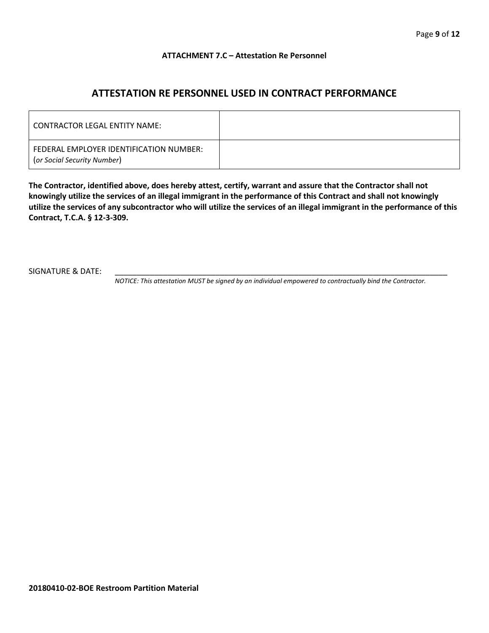## **ATTACHMENT 7.C – Attestation Re Personnel**

## **ATTESTATION RE PERSONNEL USED IN CONTRACT PERFORMANCE**

| CONTRACTOR LEGAL ENTITY NAME:                                          |  |
|------------------------------------------------------------------------|--|
| FEDERAL EMPLOYER IDENTIFICATION NUMBER:<br>(or Social Security Number) |  |

**The Contractor, identified above, does hereby attest, certify, warrant and assure that the Contractor shall not knowingly utilize the services of an illegal immigrant in the performance of this Contract and shall not knowingly utilize the services of any subcontractor who will utilize the services of an illegal immigrant in the performance of this Contract, T.C.A. § 12-3-309.**

SIGNATURE & DATE:

*NOTICE: This attestation MUST be signed by an individual empowered to contractually bind the Contractor.*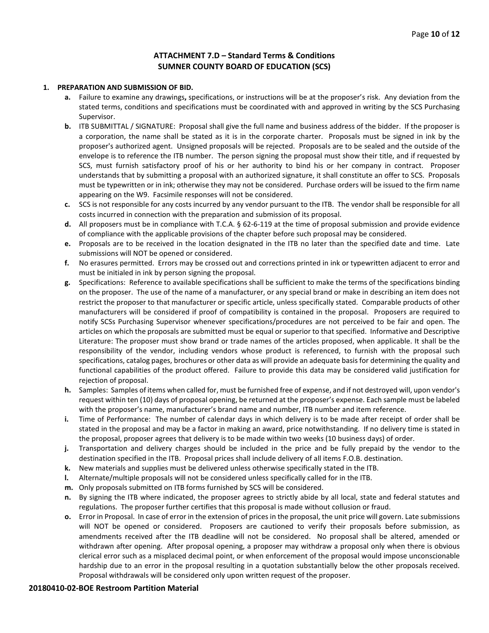## **ATTACHMENT 7.D – Standard Terms & Conditions SUMNER COUNTY BOARD OF EDUCATION (SCS)**

#### **1. PREPARATION AND SUBMISSION OF BID.**

- **a.** Failure to examine any drawings**,** specifications, or instructions will be at the proposer's risk. Any deviation from the stated terms, conditions and specifications must be coordinated with and approved in writing by the SCS Purchasing Supervisor.
- **b.** ITB SUBMITTAL / SIGNATURE: Proposal shall give the full name and business address of the bidder. If the proposer is a corporation, the name shall be stated as it is in the corporate charter. Proposals must be signed in ink by the proposer's authorized agent. Unsigned proposals will be rejected. Proposals are to be sealed and the outside of the envelope is to reference the ITB number. The person signing the proposal must show their title, and if requested by SCS, must furnish satisfactory proof of his or her authority to bind his or her company in contract. Proposer understands that by submitting a proposal with an authorized signature, it shall constitute an offer to SCS. Proposals must be typewritten or in ink; otherwise they may not be considered. Purchase orders will be issued to the firm name appearing on the W9. Facsimile responses will not be considered.
- **c.** SCS is not responsible for any costs incurred by any vendor pursuant to the ITB. The vendor shall be responsible for all costs incurred in connection with the preparation and submission of its proposal.
- **d.** All proposers must be in compliance with T.C.A. § 62-6-119 at the time of proposal submission and provide evidence of compliance with the applicable provisions of the chapter before such proposal may be considered.
- **e.** Proposals are to be received in the location designated in the ITB no later than the specified date and time. Late submissions will NOT be opened or considered.
- **f.** No erasures permitted. Errors may be crossed out and corrections printed in ink or typewritten adjacent to error and must be initialed in ink by person signing the proposal.
- **g.** Specifications: Reference to available specifications shall be sufficient to make the terms of the specifications binding on the proposer. The use of the name of a manufacturer, or any special brand or make in describing an item does not restrict the proposer to that manufacturer or specific article, unless specifically stated. Comparable products of other manufacturers will be considered if proof of compatibility is contained in the proposal. Proposers are required to notify SCSs Purchasing Supervisor whenever specifications/procedures are not perceived to be fair and open. The articles on which the proposals are submitted must be equal or superior to that specified. Informative and Descriptive Literature: The proposer must show brand or trade names of the articles proposed, when applicable. It shall be the responsibility of the vendor, including vendors whose product is referenced, to furnish with the proposal such specifications, catalog pages, brochures or other data as will provide an adequate basis for determining the quality and functional capabilities of the product offered. Failure to provide this data may be considered valid justification for rejection of proposal.
- **h.** Samples: Samples of items when called for, must be furnished free of expense, and if not destroyed will, upon vendor's request within ten (10) days of proposal opening, be returned at the proposer's expense. Each sample must be labeled with the proposer's name, manufacturer's brand name and number, ITB number and item reference.
- **i.** Time of Performance: The number of calendar days in which delivery is to be made after receipt of order shall be stated in the proposal and may be a factor in making an award, price notwithstanding. If no delivery time is stated in the proposal, proposer agrees that delivery is to be made within two weeks (10 business days) of order.
- **j.** Transportation and delivery charges should be included in the price and be fully prepaid by the vendor to the destination specified in the ITB. Proposal prices shall include delivery of all items F.O.B. destination.
- **k.** New materials and supplies must be delivered unless otherwise specifically stated in the ITB.
- **l.** Alternate/multiple proposals will not be considered unless specifically called for in the ITB.
- **m.** Only proposals submitted on ITB forms furnished by SCS will be considered.
- **n.** By signing the ITB where indicated, the proposer agrees to strictly abide by all local, state and federal statutes and regulations. The proposer further certifies that this proposal is made without collusion or fraud.
- **o.** Error in Proposal. In case of error in the extension of prices in the proposal, the unit price will govern. Late submissions will NOT be opened or considered. Proposers are cautioned to verify their proposals before submission, as amendments received after the ITB deadline will not be considered. No proposal shall be altered, amended or withdrawn after opening. After proposal opening, a proposer may withdraw a proposal only when there is obvious clerical error such as a misplaced decimal point, or when enforcement of the proposal would impose unconscionable hardship due to an error in the proposal resulting in a quotation substantially below the other proposals received. Proposal withdrawals will be considered only upon written request of the proposer.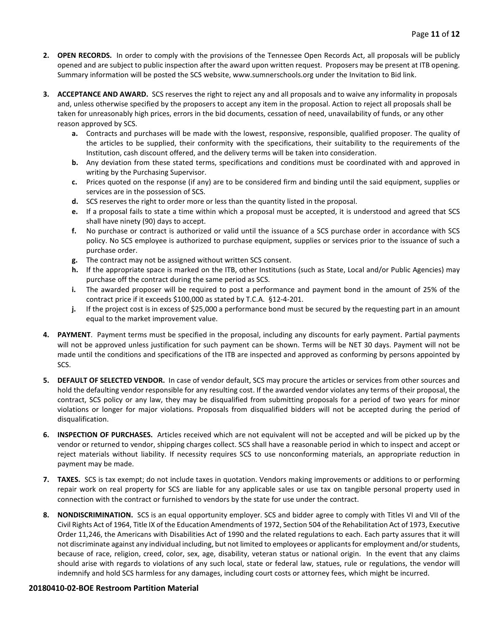- **2. OPEN RECORDS.** In order to comply with the provisions of the Tennessee Open Records Act, all proposals will be publicly opened and are subject to public inspection after the award upon written request. Proposers may be present at ITB opening. Summary information will be posted the SCS website, www.sumnerschools.org under the Invitation to Bid link.
- **3. ACCEPTANCE AND AWARD.** SCS reserves the right to reject any and all proposals and to waive any informality in proposals and, unless otherwise specified by the proposers to accept any item in the proposal. Action to reject all proposals shall be taken for unreasonably high prices, errors in the bid documents, cessation of need, unavailability of funds, or any other reason approved by SCS.
	- **a.** Contracts and purchases will be made with the lowest, responsive, responsible, qualified proposer. The quality of the articles to be supplied, their conformity with the specifications, their suitability to the requirements of the Institution, cash discount offered, and the delivery terms will be taken into consideration.
	- **b.** Any deviation from these stated terms, specifications and conditions must be coordinated with and approved in writing by the Purchasing Supervisor.
	- **c.** Prices quoted on the response (if any) are to be considered firm and binding until the said equipment, supplies or services are in the possession of SCS.
	- **d.** SCS reserves the right to order more or less than the quantity listed in the proposal.
	- **e.** If a proposal fails to state a time within which a proposal must be accepted, it is understood and agreed that SCS shall have ninety (90) days to accept.
	- **f.** No purchase or contract is authorized or valid until the issuance of a SCS purchase order in accordance with SCS policy. No SCS employee is authorized to purchase equipment, supplies or services prior to the issuance of such a purchase order.
	- **g.** The contract may not be assigned without written SCS consent.
	- **h.** If the appropriate space is marked on the ITB, other Institutions (such as State, Local and/or Public Agencies) may purchase off the contract during the same period as SCS.
	- **i.** The awarded proposer will be required to post a performance and payment bond in the amount of 25% of the contract price if it exceeds \$100,000 as stated by T.C.A. §12-4-201.
	- **j.** If the project cost is in excess of \$25,000 a performance bond must be secured by the requesting part in an amount equal to the market improvement value.
- **4. PAYMENT**. Payment terms must be specified in the proposal, including any discounts for early payment. Partial payments will not be approved unless justification for such payment can be shown. Terms will be NET 30 days. Payment will not be made until the conditions and specifications of the ITB are inspected and approved as conforming by persons appointed by SCS.
- **5. DEFAULT OF SELECTED VENDOR.** In case of vendor default, SCS may procure the articles or services from other sources and hold the defaulting vendor responsible for any resulting cost. If the awarded vendor violates any terms of their proposal, the contract, SCS policy or any law, they may be disqualified from submitting proposals for a period of two years for minor violations or longer for major violations. Proposals from disqualified bidders will not be accepted during the period of disqualification.
- **6. INSPECTION OF PURCHASES.** Articles received which are not equivalent will not be accepted and will be picked up by the vendor or returned to vendor, shipping charges collect. SCS shall have a reasonable period in which to inspect and accept or reject materials without liability. If necessity requires SCS to use nonconforming materials, an appropriate reduction in payment may be made.
- **7. TAXES.** SCS is tax exempt; do not include taxes in quotation. Vendors making improvements or additions to or performing repair work on real property for SCS are liable for any applicable sales or use tax on tangible personal property used in connection with the contract or furnished to vendors by the state for use under the contract.
- **8. NONDISCRIMINATION.** SCS is an equal opportunity employer. SCS and bidder agree to comply with Titles VI and VII of the Civil Rights Act of 1964, Title IX of the Education Amendments of 1972, Section 504 of the Rehabilitation Act of 1973, Executive Order 11,246, the Americans with Disabilities Act of 1990 and the related regulations to each. Each party assures that it will not discriminate against any individual including, but not limited to employees or applicants for employment and/or students, because of race, religion, creed, color, sex, age, disability, veteran status or national origin. In the event that any claims should arise with regards to violations of any such local, state or federal law, statues, rule or regulations, the vendor will indemnify and hold SCS harmless for any damages, including court costs or attorney fees, which might be incurred.